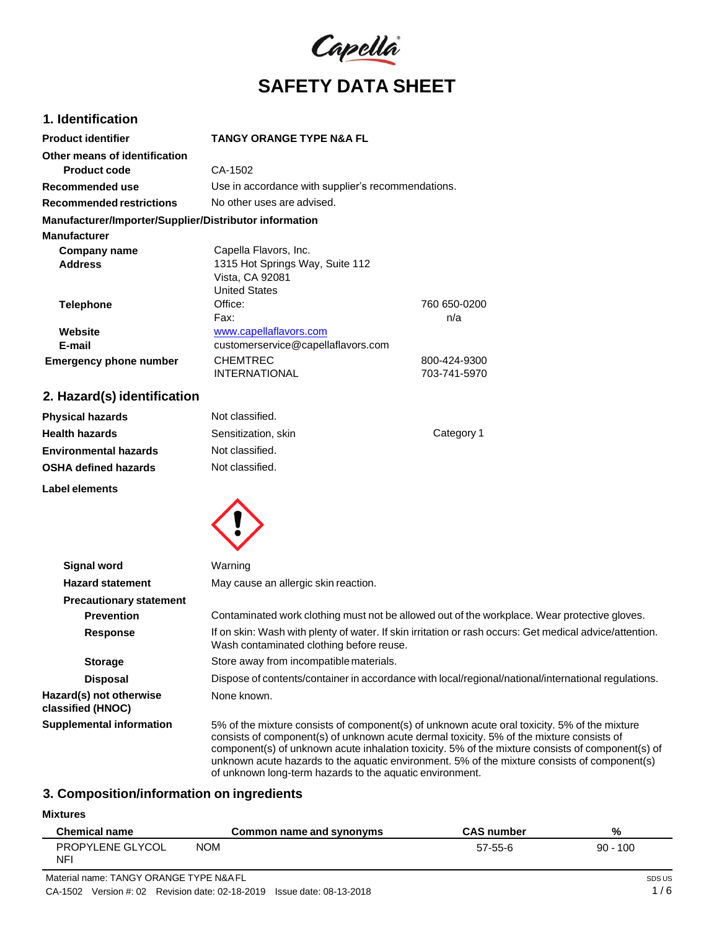

# **1. Identification**

| <b>Product identifier</b>                              | TANGY ORANGE TYPE N&A FL                           |              |
|--------------------------------------------------------|----------------------------------------------------|--------------|
| Other means of identification                          |                                                    |              |
| <b>Product code</b>                                    | CA-1502                                            |              |
| Recommended use                                        | Use in accordance with supplier's recommendations. |              |
| <b>Recommended restrictions</b>                        | No other uses are advised.                         |              |
| Manufacturer/Importer/Supplier/Distributor information |                                                    |              |
| <b>Manufacturer</b>                                    |                                                    |              |
| Company name                                           | Capella Flavors, Inc.                              |              |
| <b>Address</b>                                         | 1315 Hot Springs Way, Suite 112                    |              |
|                                                        | Vista, CA 92081                                    |              |
|                                                        | <b>United States</b>                               |              |
| <b>Telephone</b>                                       | Office:                                            | 760 650-0200 |
|                                                        | Fax:                                               | n/a          |
| Website                                                | www.capellaflavors.com                             |              |
| E-mail                                                 | customerservice@capellaflavors.com                 |              |
| <b>Emergency phone number</b>                          | <b>CHEMTREC</b>                                    | 800-424-9300 |
|                                                        | INTERNATIONAL                                      | 703-741-5970 |

# **2. Hazard(s) identification**

| <b>Physical hazards</b>      | Not classified.     |            |
|------------------------------|---------------------|------------|
| <b>Health hazards</b>        | Sensitization, skin | Category 1 |
| <b>Environmental hazards</b> | Not classified.     |            |
| <b>OSHA defined hazards</b>  | Not classified.     |            |
| Label elements               |                     |            |



| <b>Signal word</b>                           | Warning                                                                                                                                                                                                                                                                                                                                                                                                                                                  |
|----------------------------------------------|----------------------------------------------------------------------------------------------------------------------------------------------------------------------------------------------------------------------------------------------------------------------------------------------------------------------------------------------------------------------------------------------------------------------------------------------------------|
| <b>Hazard statement</b>                      | May cause an allergic skin reaction.                                                                                                                                                                                                                                                                                                                                                                                                                     |
| <b>Precautionary statement</b>               |                                                                                                                                                                                                                                                                                                                                                                                                                                                          |
| <b>Prevention</b>                            | Contaminated work clothing must not be allowed out of the workplace. Wear protective gloves.                                                                                                                                                                                                                                                                                                                                                             |
| <b>Response</b>                              | If on skin: Wash with plenty of water. If skin irritation or rash occurs: Get medical advice/attention.<br>Wash contaminated clothing before reuse.                                                                                                                                                                                                                                                                                                      |
| <b>Storage</b>                               | Store away from incompatible materials.                                                                                                                                                                                                                                                                                                                                                                                                                  |
| <b>Disposal</b>                              | Dispose of contents/container in accordance with local/regional/national/international regulations.                                                                                                                                                                                                                                                                                                                                                      |
| Hazard(s) not otherwise<br>classified (HNOC) | None known.                                                                                                                                                                                                                                                                                                                                                                                                                                              |
| <b>Supplemental information</b>              | 5% of the mixture consists of component(s) of unknown acute oral toxicity. 5% of the mixture<br>consists of component(s) of unknown acute dermal toxicity. 5% of the mixture consists of<br>component(s) of unknown acute inhalation toxicity. 5% of the mixture consists of component(s) of<br>unknown acute hazards to the aquatic environment. 5% of the mixture consists of component(s)<br>of unknown long-term hazards to the aquatic environment. |

## **3. Composition/information on ingredients**

# **Mixtures**

| <b>Chemical name</b>           | Common name and synonyms | <b>CAS number</b> | %          |
|--------------------------------|--------------------------|-------------------|------------|
| <b>PROPYLENE GLYCOL</b><br>NFI | <b>NOM</b>               | 57-55-6           | $90 - 100$ |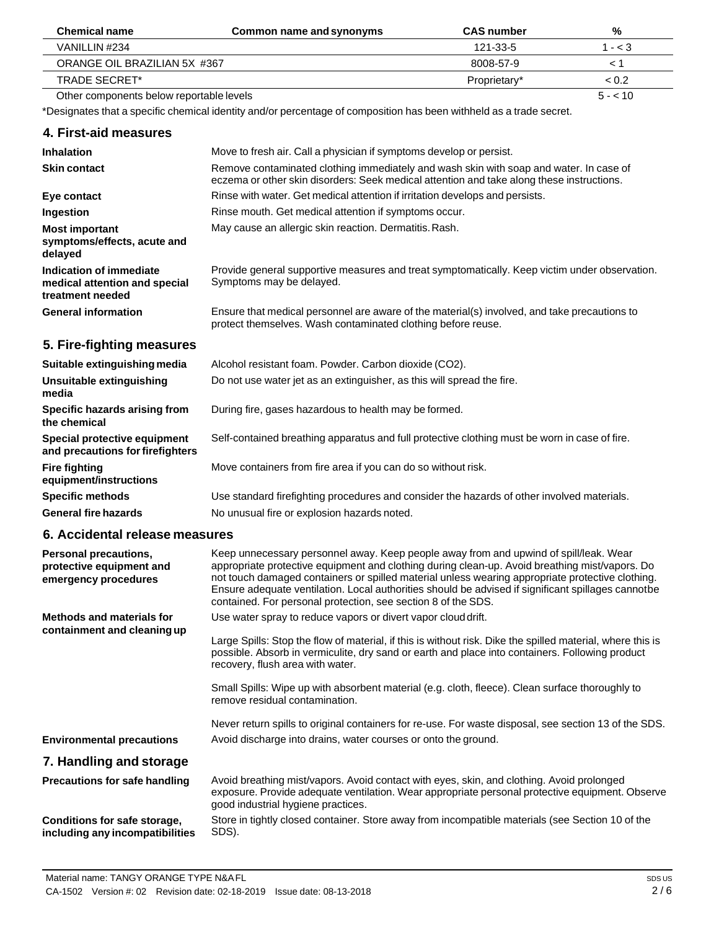| <b>Chemical name</b>                     | Common name and synonyms | <b>CAS</b> number | %        |
|------------------------------------------|--------------------------|-------------------|----------|
| VANILLIN #234                            |                          | 121-33-5          | 1 - < 3  |
| ORANGE OIL BRAZILIAN 5X #367             |                          | 8008-57-9         |          |
| TRADE SECRET*                            |                          | Proprietary*      | ~< 0.2   |
| Other components below reportable levels |                          |                   | $5 - 10$ |

\*Designates that a specific chemical identity and/or percentage of composition has been withheld as a trade secret.

#### **4. First-aid measures Inhalation Skin contact Eye contact Ingestion Most important symptoms/effects, acute and delayed Indication of immediate medical attention and special treatment needed General information 5. Fire-fighting measures Suitable extinguishing media Unsuitable extinguishing media Specific hazards arising from the chemical Special protective equipment and precautions forfirefighters Fire fighting equipment/instructions** Move to fresh air. Call a physician if symptoms develop or persist. Remove contaminated clothing immediately and wash skin with soap and water. In case of eczema or other skin disorders: Seek medical attention and take along these instructions. Rinse with water. Get medical attention if irritation develops and persists. Rinse mouth. Get medical attention if symptoms occur. May cause an allergic skin reaction. Dermatitis.Rash. Provide general supportive measures and treat symptomatically. Keep victim under observation. Symptoms may be delayed. Ensure that medical personnel are aware of the material(s) involved, and take precautions to protect themselves. Wash contaminated clothing before reuse. Alcohol resistant foam. Powder. Carbon dioxide (CO2). Do not use water jet as an extinguisher, as this will spread the fire. During fire, gases hazardous to health may be formed. Self-contained breathing apparatus and full protective clothing must be worn in case of fire. Move containers from fire area if you can do so without risk.

**Specific methods General fire hazards** Use standard firefighting procedures and consider the hazards of other involved materials. No unusual fire or explosion hazards noted.

## **6. Accidental release measures**

**including any incompatibilities**

| <b>Personal precautions,</b><br>protective equipment and<br>emergency procedures | Keep unnecessary personnel away. Keep people away from and upwind of spill/leak. Wear<br>appropriate protective equipment and clothing during clean-up. Avoid breathing mist/vapors. Do<br>not touch damaged containers or spilled material unless wearing appropriate protective clothing.<br>Ensure adequate ventilation. Local authorities should be advised if significant spillages cannotbe<br>contained. For personal protection, see section 8 of the SDS. |
|----------------------------------------------------------------------------------|--------------------------------------------------------------------------------------------------------------------------------------------------------------------------------------------------------------------------------------------------------------------------------------------------------------------------------------------------------------------------------------------------------------------------------------------------------------------|
| Methods and materials for                                                        | Use water spray to reduce vapors or divert vapor cloud drift.                                                                                                                                                                                                                                                                                                                                                                                                      |
| containment and cleaning up                                                      | Large Spills: Stop the flow of material, if this is without risk. Dike the spilled material, where this is<br>possible. Absorb in vermiculite, dry sand or earth and place into containers. Following product<br>recovery, flush area with water.                                                                                                                                                                                                                  |
|                                                                                  | Small Spills: Wipe up with absorbent material (e.g. cloth, fleece). Clean surface thoroughly to<br>remove residual contamination.                                                                                                                                                                                                                                                                                                                                  |
|                                                                                  | Never return spills to original containers for re-use. For waste disposal, see section 13 of the SDS.                                                                                                                                                                                                                                                                                                                                                              |
| <b>Environmental precautions</b>                                                 | Avoid discharge into drains, water courses or onto the ground.                                                                                                                                                                                                                                                                                                                                                                                                     |
| 7. Handling and storage                                                          |                                                                                                                                                                                                                                                                                                                                                                                                                                                                    |
| <b>Precautions for safe handling</b>                                             | Avoid breathing mist/vapors. Avoid contact with eyes, skin, and clothing. Avoid prolonged<br>exposure. Provide adequate ventilation. Wear appropriate personal protective equipment. Observe<br>good industrial hygiene practices.                                                                                                                                                                                                                                 |
| Conditions for safe storage,                                                     | Store in tightly closed container. Store away from incompatible materials (see Section 10 of the                                                                                                                                                                                                                                                                                                                                                                   |

Material name: TANGY ORANGE TYPE N&AFL CA-1502 Version #: 02 Revision date: 02-18-2019 Issue date: 08-13-2018

SDS).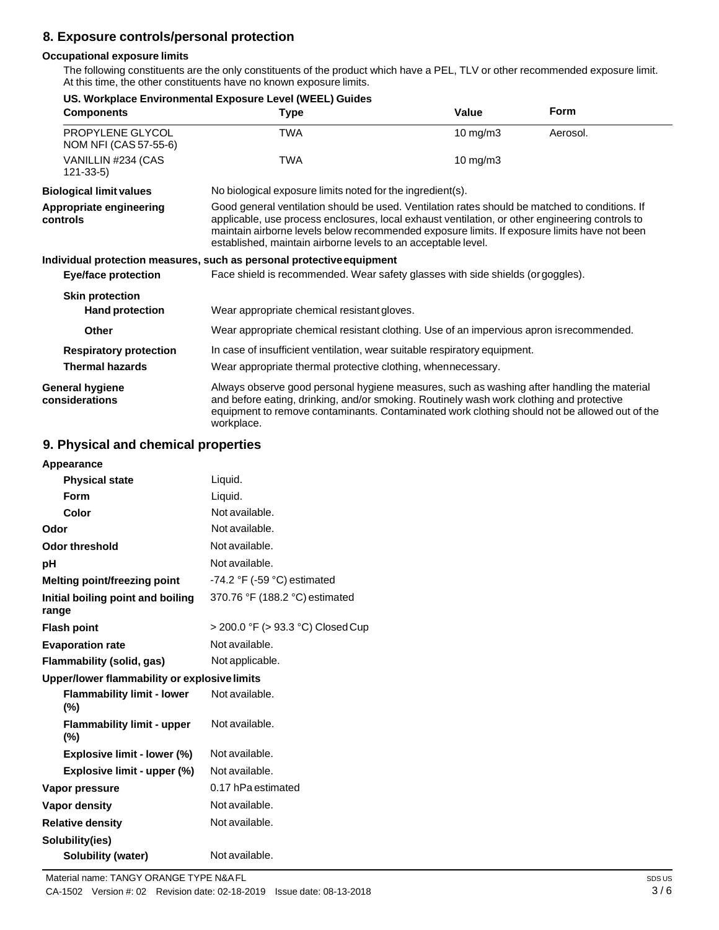# **8. Exposure controls/personal protection**

## **Occupational exposure limits**

The following constituents are the only constituents of the product which have a PEL, TLV or other recommended exposure limit. At this time, the other constituents have no known exposure limits.

|                                           | US. Workplace Environmental Exposure Level (WEEL) Guides                                                                                                                                                                                                                                                                                                           |                                                            |             |  |
|-------------------------------------------|--------------------------------------------------------------------------------------------------------------------------------------------------------------------------------------------------------------------------------------------------------------------------------------------------------------------------------------------------------------------|------------------------------------------------------------|-------------|--|
| <b>Components</b>                         | <b>Type</b>                                                                                                                                                                                                                                                                                                                                                        | Value                                                      | <b>Form</b> |  |
| PROPYLENE GLYCOL<br>NOM NFI (CAS 57-55-6) | TWA                                                                                                                                                                                                                                                                                                                                                                | 10 mg/m $3$                                                | Aerosol.    |  |
| VANILLIN #234 (CAS<br>$121 - 33 - 5$      | TWA                                                                                                                                                                                                                                                                                                                                                                | $10 \text{ mg/m}$                                          |             |  |
| <b>Biological limit values</b>            |                                                                                                                                                                                                                                                                                                                                                                    | No biological exposure limits noted for the ingredient(s). |             |  |
| Appropriate engineering<br>controls       | Good general ventilation should be used. Ventilation rates should be matched to conditions. If<br>applicable, use process enclosures, local exhaust ventilation, or other engineering controls to<br>maintain airborne levels below recommended exposure limits. If exposure limits have not been<br>established, maintain airborne levels to an acceptable level. |                                                            |             |  |
|                                           | Individual protection measures, such as personal protective equipment                                                                                                                                                                                                                                                                                              |                                                            |             |  |
| <b>Eye/face protection</b>                | Face shield is recommended. Wear safety glasses with side shields (or goggles).                                                                                                                                                                                                                                                                                    |                                                            |             |  |
| <b>Skin protection</b>                    |                                                                                                                                                                                                                                                                                                                                                                    |                                                            |             |  |
| <b>Hand protection</b>                    | Wear appropriate chemical resistant gloves.                                                                                                                                                                                                                                                                                                                        |                                                            |             |  |
| Other                                     | Wear appropriate chemical resistant clothing. Use of an impervious apron is recommended.                                                                                                                                                                                                                                                                           |                                                            |             |  |
| <b>Respiratory protection</b>             | In case of insufficient ventilation, wear suitable respiratory equipment.                                                                                                                                                                                                                                                                                          |                                                            |             |  |
| <b>Thermal hazards</b>                    | Wear appropriate thermal protective clothing, whennecessary.                                                                                                                                                                                                                                                                                                       |                                                            |             |  |
| General hygiene<br>considerations         | Always observe good personal hygiene measures, such as washing after handling the material<br>and before eating, drinking, and/or smoking. Routinely wash work clothing and protective<br>equipment to remove contaminants. Contaminated work clothing should not be allowed out of the<br>workplace.                                                              |                                                            |             |  |

## **9. Physical and chemical properties**

| Liquid.                                       |
|-----------------------------------------------|
| Liquid.                                       |
| Not available.                                |
| Not available.                                |
| Not available.                                |
| Not available.                                |
| -74.2 $\degree$ F (-59 $\degree$ C) estimated |
| 370.76 °F (188.2 °C) estimated                |
| > 200.0 °F (> 93.3 °C) Closed Cup             |
| Not available.                                |
| Not applicable.                               |
| Upper/lower flammability or explosive limits  |
| Not available.                                |
| Not available.                                |
| Not available.                                |
| Not available.                                |
| 0.17 hPa estimated                            |
| Not available.                                |
| Not available.                                |
|                                               |
|                                               |
|                                               |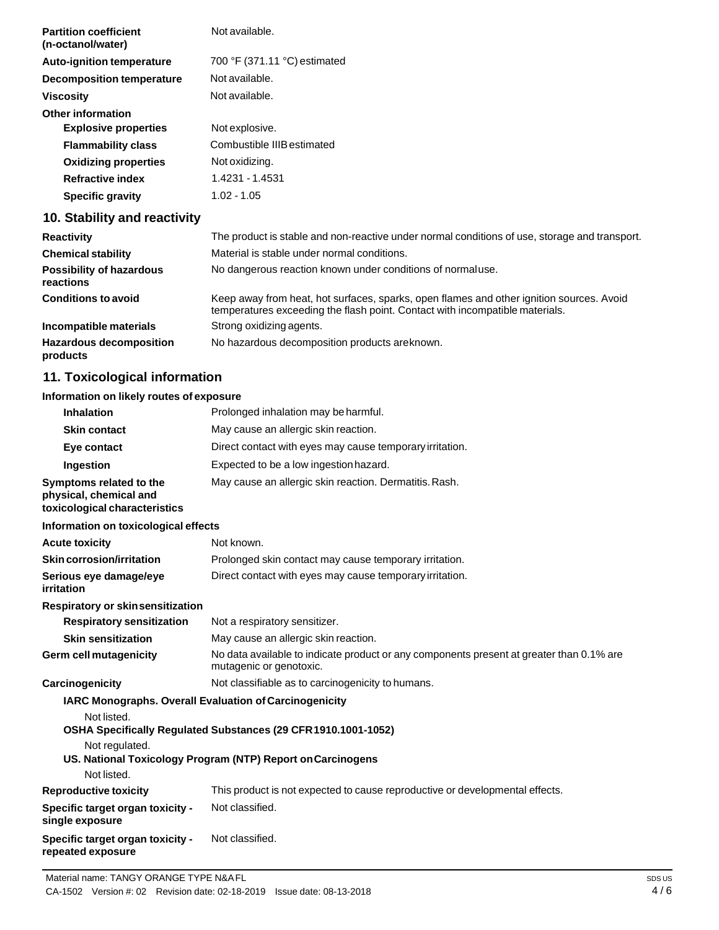| <b>Partition coefficient</b><br>(n-octanol/water) | Not available.                                                                                 |
|---------------------------------------------------|------------------------------------------------------------------------------------------------|
| <b>Auto-ignition temperature</b>                  | 700 °F (371.11 °C) estimated                                                                   |
| Decomposition temperature                         | Not available.                                                                                 |
| <b>Viscosity</b>                                  | Not available.                                                                                 |
| <b>Other information</b>                          |                                                                                                |
| <b>Explosive properties</b>                       | Not explosive.                                                                                 |
| <b>Flammability class</b>                         | Combustible IIIB estimated                                                                     |
| <b>Oxidizing properties</b>                       | Not oxidizing.                                                                                 |
| <b>Refractive index</b>                           | 1.4231 - 1.4531                                                                                |
| <b>Specific gravity</b>                           | $1.02 - 1.05$                                                                                  |
| 10. Stability and reactivity                      |                                                                                                |
|                                                   | The second control of the second second secondice conditions of second distance of cool range. |

| <b>Reactivity</b>                            | The product is stable and non-reactive under normal conditions of use, storage and transport.                                                                            |
|----------------------------------------------|--------------------------------------------------------------------------------------------------------------------------------------------------------------------------|
| <b>Chemical stability</b>                    | Material is stable under normal conditions.                                                                                                                              |
| <b>Possibility of hazardous</b><br>reactions | No dangerous reaction known under conditions of normaluse.                                                                                                               |
| <b>Conditions to avoid</b>                   | Keep away from heat, hot surfaces, sparks, open flames and other ignition sources. Avoid<br>temperatures exceeding the flash point. Contact with incompatible materials. |
| Incompatible materials                       | Strong oxidizing agents.                                                                                                                                                 |
| <b>Hazardous decomposition</b><br>products   | No hazardous decomposition products are known.                                                                                                                           |

# **11. Toxicological information**

# **Information on likely routes of exposure**

| <b>Inhalation</b>                                                                                      | Prolonged inhalation may be harmful.                                                                                          |
|--------------------------------------------------------------------------------------------------------|-------------------------------------------------------------------------------------------------------------------------------|
| <b>Skin contact</b>                                                                                    | May cause an allergic skin reaction.                                                                                          |
| Eye contact                                                                                            | Direct contact with eyes may cause temporary irritation.                                                                      |
| Ingestion                                                                                              | Expected to be a low ingestion hazard.                                                                                        |
| Symptoms related to the<br>physical, chemical and<br>toxicological characteristics                     | May cause an allergic skin reaction. Dermatitis. Rash.                                                                        |
| Information on toxicological effects                                                                   |                                                                                                                               |
| <b>Acute toxicity</b>                                                                                  | Not known.                                                                                                                    |
| <b>Skin corrosion/irritation</b>                                                                       | Prolonged skin contact may cause temporary irritation.                                                                        |
| Serious eye damage/eye<br>irritation                                                                   | Direct contact with eyes may cause temporary irritation.                                                                      |
| Respiratory or skinsensitization                                                                       |                                                                                                                               |
| <b>Respiratory sensitization</b>                                                                       | Not a respiratory sensitizer.                                                                                                 |
| <b>Skin sensitization</b>                                                                              | May cause an allergic skin reaction.                                                                                          |
| <b>Germ cell mutagenicity</b>                                                                          | No data available to indicate product or any components present at greater than 0.1% are<br>mutagenic or genotoxic.           |
| Carcinogenicity                                                                                        | Not classifiable as to carcinogenicity to humans.                                                                             |
| IARC Monographs. Overall Evaluation of Carcinogenicity<br>Not listed.<br>Not regulated.<br>Not listed. | OSHA Specifically Regulated Substances (29 CFR 1910.1001-1052)<br>US. National Toxicology Program (NTP) Report on Carcinogens |
| <b>Reproductive toxicity</b>                                                                           | This product is not expected to cause reproductive or developmental effects.                                                  |
| Specific target organ toxicity -<br>single exposure                                                    | Not classified.                                                                                                               |
| Specific target organ toxicity -<br>repeated exposure                                                  | Not classified.                                                                                                               |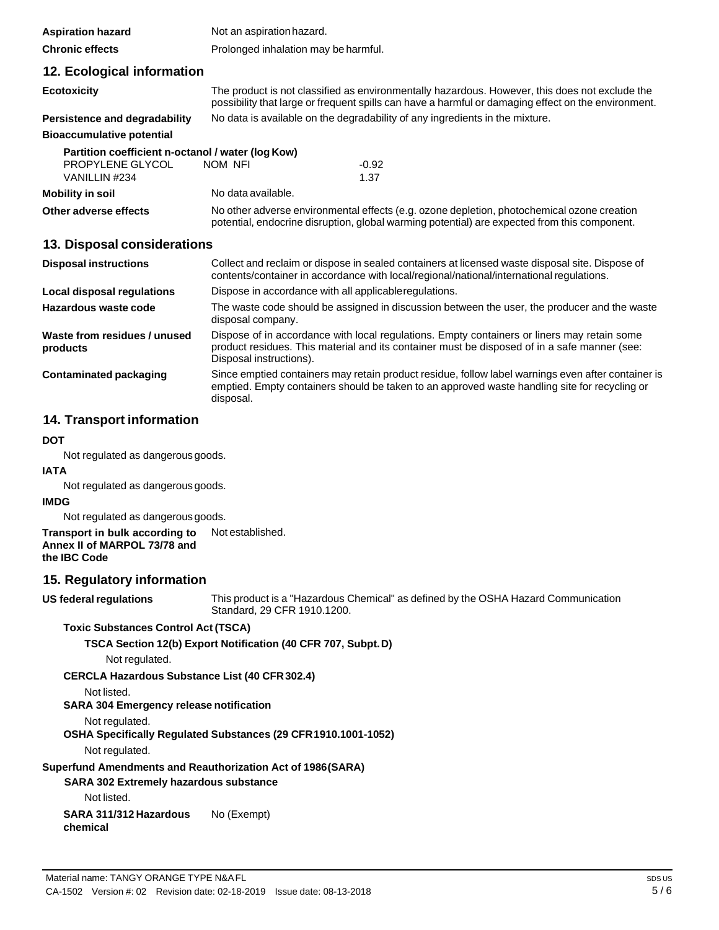| <b>Aspiration hazard</b>                          | Not an aspiration hazard.                                                                                                                                                                  |                                                                                                                                                                                                       |
|---------------------------------------------------|--------------------------------------------------------------------------------------------------------------------------------------------------------------------------------------------|-------------------------------------------------------------------------------------------------------------------------------------------------------------------------------------------------------|
| <b>Chronic effects</b>                            | Prolonged inhalation may be harmful.                                                                                                                                                       |                                                                                                                                                                                                       |
| 12. Ecological information                        |                                                                                                                                                                                            |                                                                                                                                                                                                       |
| <b>Ecotoxicity</b>                                |                                                                                                                                                                                            | The product is not classified as environmentally hazardous. However, this does not exclude the<br>possibility that large or frequent spills can have a harmful or damaging effect on the environment. |
| Persistence and degradability                     | No data is available on the degradability of any ingredients in the mixture.                                                                                                               |                                                                                                                                                                                                       |
| <b>Bioaccumulative potential</b>                  |                                                                                                                                                                                            |                                                                                                                                                                                                       |
| Partition coefficient n-octanol / water (log Kow) |                                                                                                                                                                                            |                                                                                                                                                                                                       |
| PROPYLENE GLYCOL                                  | NOM NFI                                                                                                                                                                                    | $-0.92$                                                                                                                                                                                               |
| VANILLIN #234                                     |                                                                                                                                                                                            | 1.37                                                                                                                                                                                                  |
| <b>Mobility in soil</b>                           | No data available.                                                                                                                                                                         |                                                                                                                                                                                                       |
| Other adverse effects                             | No other adverse environmental effects (e.g. ozone depletion, photochemical ozone creation<br>potential, endocrine disruption, global warming potential) are expected from this component. |                                                                                                                                                                                                       |
| 13. Disposal considerations                       |                                                                                                                                                                                            |                                                                                                                                                                                                       |

| <b>Disposal instructions</b>             | Collect and reclaim or dispose in sealed containers at licensed waste disposal site. Dispose of<br>contents/container in accordance with local/regional/national/international regulations.                            |  |
|------------------------------------------|------------------------------------------------------------------------------------------------------------------------------------------------------------------------------------------------------------------------|--|
| Local disposal regulations               | Dispose in accordance with all applicable regulations.                                                                                                                                                                 |  |
| Hazardous waste code                     | The waste code should be assigned in discussion between the user, the producer and the waste<br>disposal company.                                                                                                      |  |
| Waste from residues / unused<br>products | Dispose of in accordance with local regulations. Empty containers or liners may retain some<br>product residues. This material and its container must be disposed of in a safe manner (see:<br>Disposal instructions). |  |
| Contaminated packaging                   | Since emptied containers may retain product residue, follow label warnings even after container is<br>emptied. Empty containers should be taken to an approved waste handling site for recycling or<br>disposal.       |  |

## **14. Transport information**

## **DOT**

Not regulated as dangerous goods.

#### **IATA**

Not regulated as dangerous goods.

## **IMDG**

Not regulated as dangerous goods.

**Transport in bulk according to Annex II of MARPOL 73/78 and the IBC Code** Not established.

## **15. Regulatory information**

**US** federal regulations

This product is a "Hazardous Chemical" as defined by the OSHA Hazard Communication Standard, 29 CFR 1910.1200.

## **Toxic Substances Control Act (TSCA)**

## **TSCA Section 12(b) Export Notification (40 CFR 707, Subpt.D)**

Not regulated.

**CERCLA Hazardous Substance List (40 CFR302.4)**

## Not listed.

## **SARA 304 Emergency release notification**

## Not regulated.

**OSHA Specifically Regulated Substances (29 CFR1910.1001-1052)**

Not regulated.

## **Superfund Amendments and Reauthorization Act of 1986(SARA)**

**SARA 302 Extremely hazardous substance**

Not listed.

**SARA 311/312 Hazardous chemical** No (Exempt)